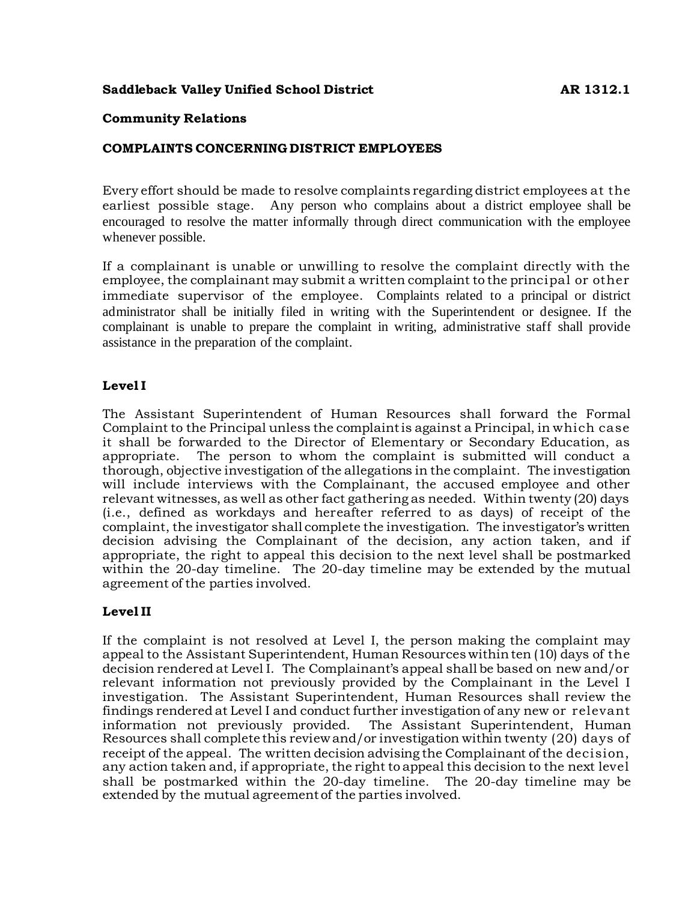# **Saddleback Valley Unified School District AR 1312.1**

#### **Community Relations**

#### **COMPLAINTS CONCERNING DISTRICT EMPLOYEES**

Every effort should be made to resolve complaints regarding district employees at the earliest possible stage. Any person who complains about a district employee shall be encouraged to resolve the matter informally through direct communication with the employee whenever possible.

If a complainant is unable or unwilling to resolve the complaint directly with the employee, the complainant may submit a written complaint to the principal or other immediate supervisor of the employee. Complaints related to a principal or district administrator shall be initially filed in writing with the Superintendent or designee. If the complainant is unable to prepare the complaint in writing, administrative staff shall provide assistance in the preparation of the complaint.

# **Level I**

The Assistant Superintendent of Human Resources shall forward the Formal Complaint to the Principal unless the complaint is against a Principal, in which case it shall be forwarded to the Director of Elementary or Secondary Education, as appropriate. The person to whom the complaint is submitted will conduct a thorough, objective investigation of the allegations in the complaint. The investigation will include interviews with the Complainant, the accused employee and other relevant witnesses, as well as other fact gathering as needed. Within twenty (20) days (i.e., defined as workdays and hereafter referred to as days) of receipt of the complaint, the investigator shall complete the investigation. The investigator's written decision advising the Complainant of the decision, any action taken, and if appropriate, the right to appeal this decision to the next level shall be postmarked within the 20-day timeline. The 20-day timeline may be extended by the mutual agreement of the parties involved.

# **Level II**

If the complaint is not resolved at Level I, the person making the complaint may appeal to the Assistant Superintendent, Human Resources within ten (10) days of the decision rendered at Level I. The Complainant's appeal shall be based on new and/or relevant information not previously provided by the Complainant in the Level I investigation. The Assistant Superintendent, Human Resources shall review the findings rendered at Level I and conduct further investigation of any new or relevant information not previously provided. The Assistant Superintendent, Human Resources shall complete this review and/or investigation within twenty (20) days of receipt of the appeal. The written decision advising the Complainant of the decision, any action taken and, if appropriate, the right to appeal this decision to the next level shall be postmarked within the 20-day timeline. The 20-day timeline may be extended by the mutual agreement of the parties involved.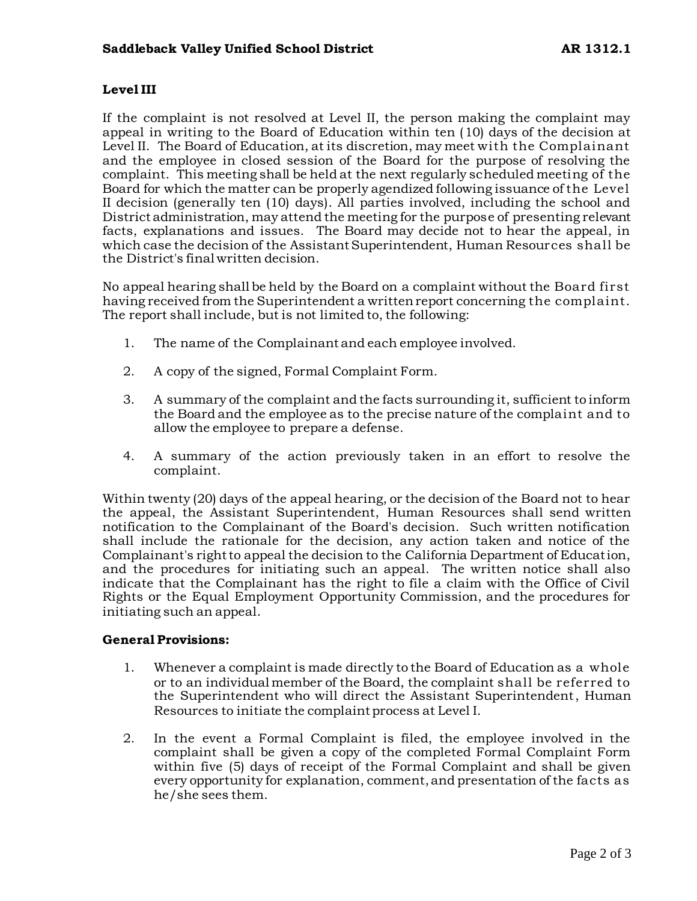# **Level III**

If the complaint is not resolved at Level II, the person making the complaint may appeal in writing to the Board of Education within ten (10) days of the decision at Level II. The Board of Education, at its discretion, may meet with the Complainant and the employee in closed session of the Board for the purpose of resolving the complaint. This meeting shall be held at the next regularly scheduled meeting of the Board for which the matter can be properly agendized following issuance of the Level II decision (generally ten (10) days). All parties involved, including the school and District administration, may attend the meeting for the purpose of presenting relevant facts, explanations and issues. The Board may decide not to hear the appeal, in which case the decision of the Assistant Superintendent, Human Resources shall be the District's final written decision.

No appeal hearing shall be held by the Board on a complaint without the Board first having received from the Superintendent a written report concerning the complaint. The report shall include, but is not limited to, the following:

- 1. The name of the Complainant and each employee involved.
- 2. A copy of the signed, Formal Complaint Form.
- 3. A summary of the complaint and the facts surrounding it, sufficient to inform the Board and the employee as to the precise nature of the complaint and to allow the employee to prepare a defense.
- 4. A summary of the action previously taken in an effort to resolve the complaint.

Within twenty (20) days of the appeal hearing, or the decision of the Board not to hear the appeal, the Assistant Superintendent, Human Resources shall send written notification to the Complainant of the Board's decision. Such written notification shall include the rationale for the decision, any action taken and notice of the Complainant's right to appeal the decision to the California Department of Education, and the procedures for initiating such an appeal. The written notice shall also indicate that the Complainant has the right to file a claim with the Office of Civil Rights or the Equal Employment Opportunity Commission, and the procedures for initiating such an appeal.

#### **General Provisions:**

- 1. Whenever a complaint is made directly to the Board of Education as a whole or to an individual member of the Board, the complaint shall be referred to the Superintendent who will direct the Assistant Superintendent, Human Resources to initiate the complaint process at Level I.
- 2. In the event a Formal Complaint is filed, the employee involved in the complaint shall be given a copy of the completed Formal Complaint Form within five (5) days of receipt of the Formal Complaint and shall be given every opportunity for explanation, comment, and presentation of the facts as he/she sees them.